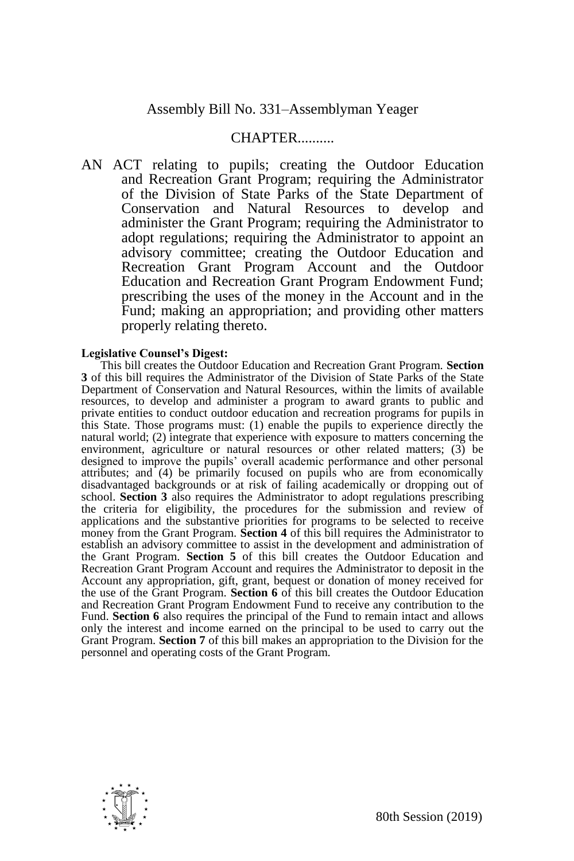## CHAPTER..........

AN ACT relating to pupils; creating the Outdoor Education and Recreation Grant Program; requiring the Administrator of the Division of State Parks of the State Department of Conservation and Natural Resources to develop and administer the Grant Program; requiring the Administrator to adopt regulations; requiring the Administrator to appoint an advisory committee; creating the Outdoor Education and Recreation Grant Program Account and the Outdoor Education and Recreation Grant Program Endowment Fund; prescribing the uses of the money in the Account and in the Fund; making an appropriation; and providing other matters properly relating thereto.

## **Legislative Counsel's Digest:**

This bill creates the Outdoor Education and Recreation Grant Program. **Section 3** of this bill requires the Administrator of the Division of State Parks of the State Department of Conservation and Natural Resources, within the limits of available resources, to develop and administer a program to award grants to public and private entities to conduct outdoor education and recreation programs for pupils in this State. Those programs must: (1) enable the pupils to experience directly the natural world; (2) integrate that experience with exposure to matters concerning the environment, agriculture or natural resources or other related matters; (3) be designed to improve the pupils' overall academic performance and other personal attributes; and (4) be primarily focused on pupils who are from economically disadvantaged backgrounds or at risk of failing academically or dropping out of school. **Section 3** also requires the Administrator to adopt regulations prescribing the criteria for eligibility, the procedures for the submission and review of applications and the substantive priorities for programs to be selected to receive money from the Grant Program. **Section 4** of this bill requires the Administrator to establish an advisory committee to assist in the development and administration of the Grant Program. **Section 5** of this bill creates the Outdoor Education and Recreation Grant Program Account and requires the Administrator to deposit in the Account any appropriation, gift, grant, bequest or donation of money received for the use of the Grant Program. **Section 6** of this bill creates the Outdoor Education and Recreation Grant Program Endowment Fund to receive any contribution to the Fund. **Section 6** also requires the principal of the Fund to remain intact and allows only the interest and income earned on the principal to be used to carry out the Grant Program. **Section 7** of this bill makes an appropriation to the Division for the personnel and operating costs of the Grant Program.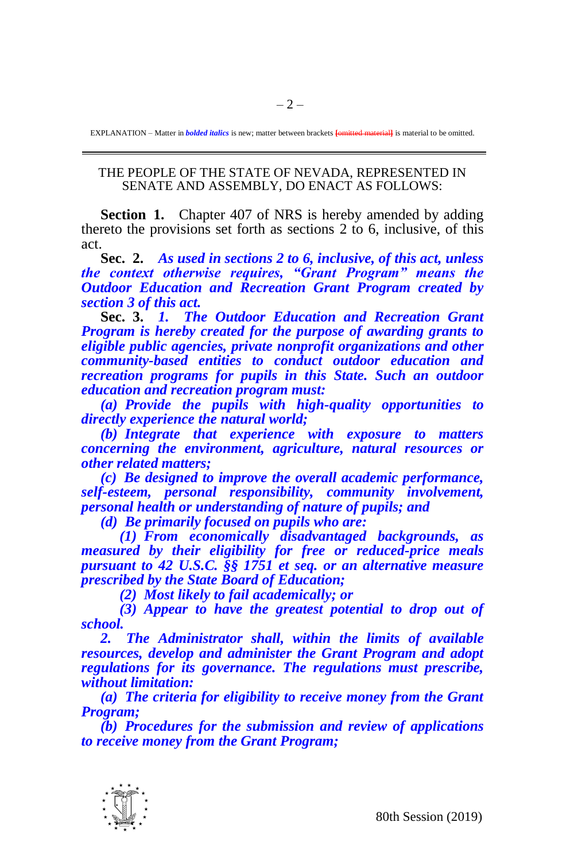EXPLANATION – Matter in *bolded italics* is new; matter between brackets **[**omitted material**]** is material to be omitted.

## THE PEOPLE OF THE STATE OF NEVADA, REPRESENTED IN SENATE AND ASSEMBLY, DO ENACT AS FOLLOWS:

**Section 1.** Chapter 407 of NRS is hereby amended by adding thereto the provisions set forth as sections 2 to 6, inclusive, of this act.

**Sec. 2.** *As used in sections 2 to 6, inclusive, of this act, unless the context otherwise requires, "Grant Program" means the Outdoor Education and Recreation Grant Program created by section 3 of this act.*

**Sec. 3.** *1. The Outdoor Education and Recreation Grant Program is hereby created for the purpose of awarding grants to eligible public agencies, private nonprofit organizations and other community-based entities to conduct outdoor education and recreation programs for pupils in this State. Such an outdoor education and recreation program must:*

*(a) Provide the pupils with high-quality opportunities to directly experience the natural world;*

*(b) Integrate that experience with exposure to matters concerning the environment, agriculture, natural resources or other related matters;*

*(c) Be designed to improve the overall academic performance, self-esteem, personal responsibility, community involvement, personal health or understanding of nature of pupils; and*

*(d) Be primarily focused on pupils who are:*

*(1) From economically disadvantaged backgrounds, as measured by their eligibility for free or reduced-price meals pursuant to 42 U.S.C. §§ 1751 et seq. or an alternative measure prescribed by the State Board of Education;*

*(2) Most likely to fail academically; or*

*(3) Appear to have the greatest potential to drop out of school.*

*2. The Administrator shall, within the limits of available resources, develop and administer the Grant Program and adopt regulations for its governance. The regulations must prescribe, without limitation:*

*(a) The criteria for eligibility to receive money from the Grant Program;*

*(b) Procedures for the submission and review of applications to receive money from the Grant Program;*

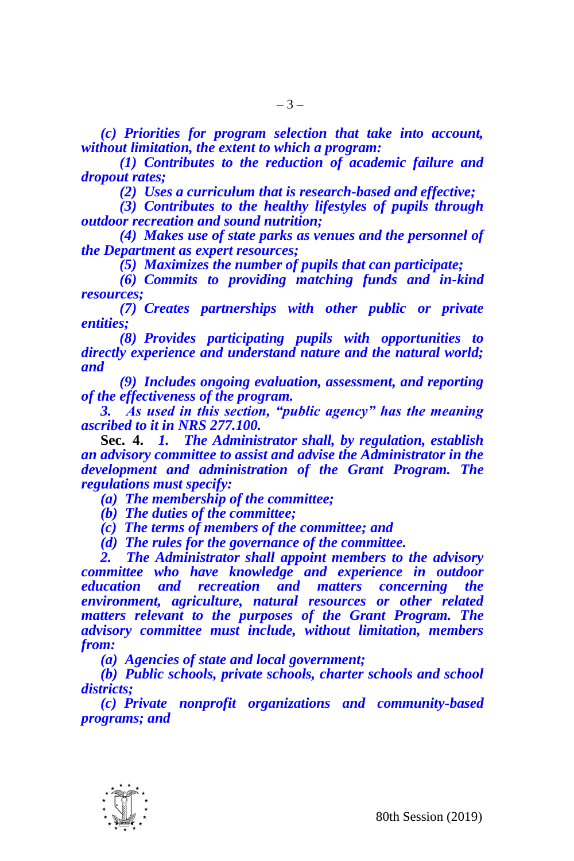*(c) Priorities for program selection that take into account, without limitation, the extent to which a program:*

*(1) Contributes to the reduction of academic failure and dropout rates;*

*(2) Uses a curriculum that is research-based and effective;*

*(3) Contributes to the healthy lifestyles of pupils through outdoor recreation and sound nutrition;* 

*(4) Makes use of state parks as venues and the personnel of the Department as expert resources;* 

*(5) Maximizes the number of pupils that can participate;* 

*(6) Commits to providing matching funds and in-kind resources;* 

*(7) Creates partnerships with other public or private entities;* 

*(8) Provides participating pupils with opportunities to directly experience and understand nature and the natural world; and*

*(9) Includes ongoing evaluation, assessment, and reporting of the effectiveness of the program.*

*3. As used in this section, "public agency" has the meaning ascribed to it in NRS 277.100.*

**Sec. 4.** *1. The Administrator shall, by regulation, establish an advisory committee to assist and advise the Administrator in the development and administration of the Grant Program. The regulations must specify:*

*(a) The membership of the committee;*

*(b) The duties of the committee;*

*(c) The terms of members of the committee; and*

*(d) The rules for the governance of the committee.*

*2. The Administrator shall appoint members to the advisory committee who have knowledge and experience in outdoor education and recreation and matters concerning the environment, agriculture, natural resources or other related matters relevant to the purposes of the Grant Program. The advisory committee must include, without limitation, members from:*

*(a) Agencies of state and local government;*

*(b) Public schools, private schools, charter schools and school districts;*

*(c) Private nonprofit organizations and community-based programs; and*

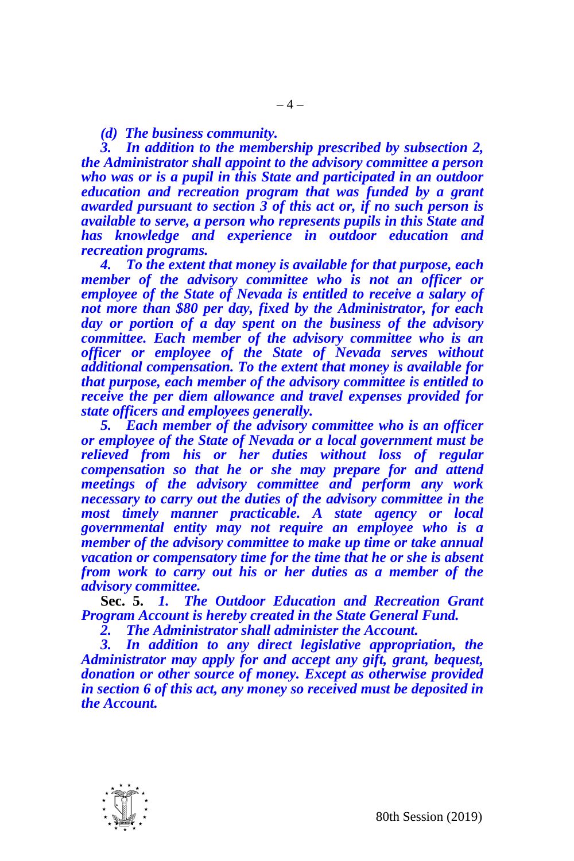## *(d) The business community.*

*3. In addition to the membership prescribed by subsection 2, the Administrator shall appoint to the advisory committee a person who was or is a pupil in this State and participated in an outdoor education and recreation program that was funded by a grant awarded pursuant to section 3 of this act or, if no such person is available to serve, a person who represents pupils in this State and has knowledge and experience in outdoor education and recreation programs.*

*4. To the extent that money is available for that purpose, each member of the advisory committee who is not an officer or employee of the State of Nevada is entitled to receive a salary of not more than \$80 per day, fixed by the Administrator, for each day or portion of a day spent on the business of the advisory committee. Each member of the advisory committee who is an officer or employee of the State of Nevada serves without additional compensation. To the extent that money is available for that purpose, each member of the advisory committee is entitled to receive the per diem allowance and travel expenses provided for state officers and employees generally.*

*5. Each member of the advisory committee who is an officer or employee of the State of Nevada or a local government must be relieved from his or her duties without loss of regular compensation so that he or she may prepare for and attend meetings of the advisory committee and perform any work necessary to carry out the duties of the advisory committee in the most timely manner practicable. A state agency or local governmental entity may not require an employee who is a member of the advisory committee to make up time or take annual vacation or compensatory time for the time that he or she is absent from work to carry out his or her duties as a member of the advisory committee.*

**Sec. 5.** *1. The Outdoor Education and Recreation Grant Program Account is hereby created in the State General Fund.*

*2. The Administrator shall administer the Account.*

*3. In addition to any direct legislative appropriation, the Administrator may apply for and accept any gift, grant, bequest, donation or other source of money. Except as otherwise provided in section 6 of this act, any money so received must be deposited in the Account.*

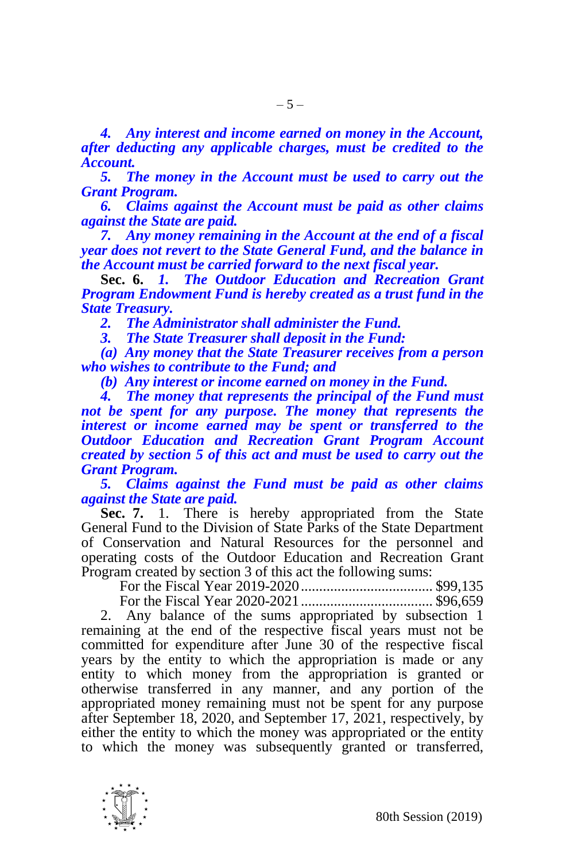*4. Any interest and income earned on money in the Account, after deducting any applicable charges, must be credited to the Account.*

*5. The money in the Account must be used to carry out the Grant Program.*

*6. Claims against the Account must be paid as other claims against the State are paid.*

*7. Any money remaining in the Account at the end of a fiscal year does not revert to the State General Fund, and the balance in the Account must be carried forward to the next fiscal year.*

**Sec. 6.** *1. The Outdoor Education and Recreation Grant Program Endowment Fund is hereby created as a trust fund in the State Treasury.*

*2. The Administrator shall administer the Fund.*

*3. The State Treasurer shall deposit in the Fund:*

*(a) Any money that the State Treasurer receives from a person who wishes to contribute to the Fund; and*

*(b) Any interest or income earned on money in the Fund.* 

*4. The money that represents the principal of the Fund must not be spent for any purpose. The money that represents the interest or income earned may be spent or transferred to the Outdoor Education and Recreation Grant Program Account created by section 5 of this act and must be used to carry out the Grant Program.*

*5. Claims against the Fund must be paid as other claims against the State are paid.*

**Sec. 7.** 1. There is hereby appropriated from the State General Fund to the Division of State Parks of the State Department of Conservation and Natural Resources for the personnel and operating costs of the Outdoor Education and Recreation Grant Program created by section 3 of this act the following sums:

For the Fiscal Year 2019-2020.................................... \$99,135 For the Fiscal Year 2020-2021.................................... \$96,659

2. Any balance of the sums appropriated by subsection 1 remaining at the end of the respective fiscal years must not be committed for expenditure after June 30 of the respective fiscal years by the entity to which the appropriation is made or any entity to which money from the appropriation is granted or otherwise transferred in any manner, and any portion of the appropriated money remaining must not be spent for any purpose after September 18, 2020, and September 17, 2021, respectively, by either the entity to which the money was appropriated or the entity to which the money was subsequently granted or transferred,